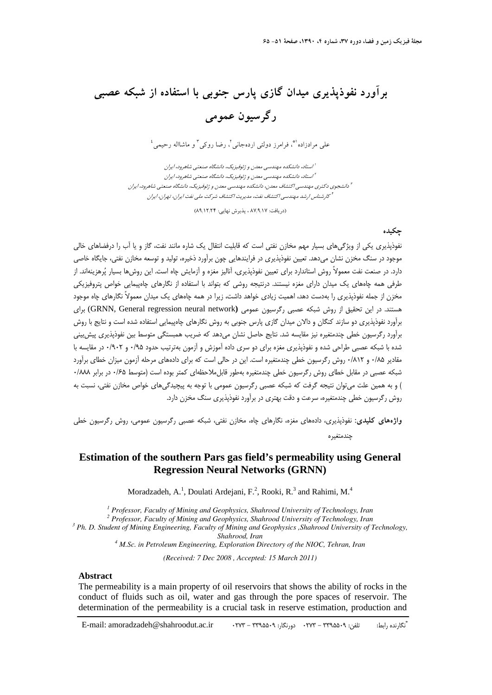# **برآورد نفوذپذيري ميدان گازي پارس جنوبي با استفاده از شبكه عصبي رگرسيون عمومي**

 $^{\frac{3}{2}}$ و مرادزاده (\*، فرامرز دولتي اردهجاني آ ، رضا روكي آ و ماشااله رحيمي

استاد، دانشكده مهندسي معدن <sup>و</sup> ژئوفيزيك، دانشگاه صنعتي شاهرود، ايران <sup>1</sup> استاد، دانشكده مهندسي معدن <sup>و</sup> ژئوفيزيك، دانشگاه صنعتي شاهرود، ايران <sup>2</sup> دانشجوي دكتري مهندسي اكتشاف معدن، دانشكده مهندسي معدن <sup>و</sup> ژئوفيزيك، دانشگاه صنعتي شاهرود، ايران <sup>3</sup> كارشناس ارشد مهندسي اكتشاف نفت، مديريت اكتشاف شركت ملي نفت ايران، تهران، ايران <sup>4</sup>

(دريافت: 87/9/17 ، پذيرش نهايي: 89/12/24)

### **چكيده**

نفوذپذيري يكي از ويژگيهاي بسيار مهم مخازن نفتي است كه قابليت انتقال يك شاره مانند نفت، گاز و يا آب را درفضاهاي خالي موجود در سنگ مخزن نشان ميدهد. تعيين نفوذپذيري در فرايندهايي چون برآورد ذخيره، توليد و توسعه مخازن نفتي، جايگاه خاصي دارد. در صنعت نفت معمولاً روش استاندارد براي تعيين نفوذپذيري، آناليز مغزه و آزمايش چاه است. اين روشها بسيار پرهزينهاند. از طرفي همه چاههاي يك ميدان داراي مغزه نيستند. درنتيجه روشي كه بتواند با استفاده از نگارهاي چاهپيمايي خواص پتروفيزيكي مخزن از جمله نفوذپذيري را بهدست دهد، اهميت زيادي خواهد داشت، زيرا در همه چاههاي يك ميدان معمولاً نگارهاي چاه موجود هستند. در اين تحقيق از روش شبكه عصبي رگرسيون عمومي **(**network neural regression General ,GRNN (براي برآورد نفوذپذيري دو سازند كنگان و دالان ميدان گازي پارس جنوبي به روش نگارهاي چاهپيمايي استفاده شده است و نتايج با روش برآورد رگرسيون خطي چندمتغيره نيز مقايسه شد. نتايج حاصل نشان ميدهد كه ضريب همبستگي متوسط بين نفوذپذيري پيشبيني شده با شبكه عصبي طراحي شده و نفوذپذيري مغزه براي دو سري داده آموزش و آزمون بهترتيب حدود 0/95 و 0/902 در مقايسه با مقادير 0/85 و 0/812 روش رگرسيون خطي چندمتغيره است. اين در حالي است كه براي داده هاي مرحله آزمون ميزان خطاي برآورد شبكه عصبي در مقابل خطاي روش رگرسيون خطي چندمتغيره بهطور قابلملاحظهاي كمتر بوده است (متوسط 0/65 در برابر 0/888 ) و به همين علت ميتوان نتيجه گرفت كه شبكه عصبي رگرسيون عمومي با توجه به پيچيدگيهاي خواص مخازن نفتي، نسبت به روش رگرسيون خطي چندمتغيره، سرعت و دقت بهتري در برآورد نفوذپذيري سنگ مخزن دارد.

**واژههاي كليدي:** نفوذپذيري، داده هاي مغزه، نگارهاي چاه، مخازن نفتي، شبكه عصبي رگرسيون عمومي، روش رگرسيون خطي چندمتغيره

## **Estimation of the southern Pars gas field's permeability using General Regression Neural Networks (GRNN)**

Moradzadeh, A.<sup>1</sup>, Doulati Ardejani, F.<sup>2</sup>, Rooki, R.<sup>3</sup> and Rahimi, M.<sup>4</sup>

<sup>1</sup> Professor, Faculty of Mining and Geophysics, Shahrood University of Technology, Iran <sup>2</sup> Professor, Faculty of Mining and Ceophysics, Shahrood University of Technology, Iran

<sup>2</sup> Professor, Faculty of Mining and Geophysics, Shahrood University of Technology, Iran

 *Ph. D. Student of Mining Engineering, Faculty of Mining and Geophysics ,Shahrood University of Technology, Shahrood, Iran 4 M.Sc. in Petroleum Engineering, Exploration Directory of the NIOC, Tehran, Iran* 

*(Received: 7 Dec 2008 , Accepted: 15 March 2011)* 

#### **Abstract**

The permeability is a main property of oil reservoirs that shows the ability of rocks in the conduct of fluids such as oil, water and gas through the pore spaces of reservoir. The determination of the permeability is a crucial task in reserve estimation, production and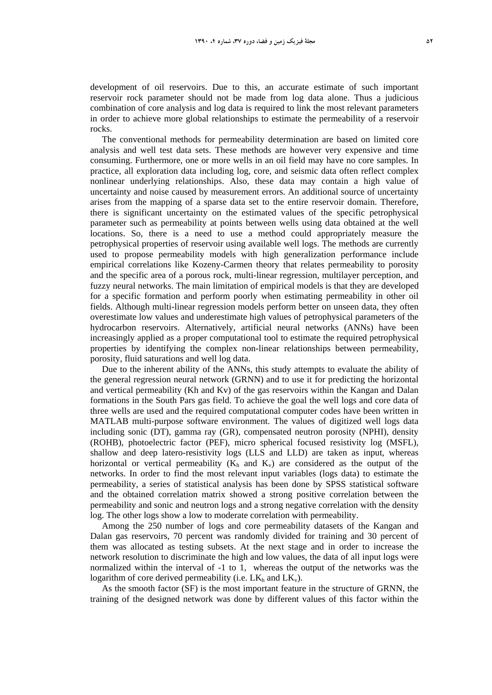development of oil reservoirs. Due to this, an accurate estimate of such important reservoir rock parameter should not be made from log data alone. Thus a judicious combination of core analysis and log data is required to link the most relevant parameters in order to achieve more global relationships to estimate the permeability of a reservoir rocks.

The conventional methods for permeability determination are based on limited core analysis and well test data sets. These methods are however very expensive and time consuming. Furthermore, one or more wells in an oil field may have no core samples. In practice, all exploration data including log, core, and seismic data often reflect complex nonlinear underlying relationships. Also, these data may contain a high value of uncertainty and noise caused by measurement errors. An additional source of uncertainty arises from the mapping of a sparse data set to the entire reservoir domain. Therefore, there is significant uncertainty on the estimated values of the specific petrophysical parameter such as permeability at points between wells using data obtained at the well locations. So, there is a need to use a method could appropriately measure the petrophysical properties of reservoir using available well logs. The methods are currently used to propose permeability models with high generalization performance include empirical correlations like Kozeny-Carmen theory that relates permeability to porosity and the specific area of a porous rock, multi-linear regression, multilayer perception, and fuzzy neural networks. The main limitation of empirical models is that they are developed for a specific formation and perform poorly when estimating permeability in other oil fields. Although multi-linear regression models perform better on unseen data, they often overestimate low values and underestimate high values of petrophysical parameters of the hydrocarbon reservoirs. Alternatively, artificial neural networks (ANNs) have been increasingly applied as a proper computational tool to estimate the required petrophysical properties by identifying the complex non-linear relationships between permeability, porosity, fluid saturations and well log data.

Due to the inherent ability of the ANNs, this study attempts to evaluate the ability of the general regression neural network (GRNN) and to use it for predicting the horizontal and vertical permeability (Kh and Kv) of the gas reservoirs within the Kangan and Dalan formations in the South Pars gas field. To achieve the goal the well logs and core data of three wells are used and the required computational computer codes have been written in MATLAB multi-purpose software environment. The values of digitized well logs data including sonic (DT), gamma ray (GR), compensated neutron porosity (NPHI), density (ROHB), photoelectric factor (PEF), micro spherical focused resistivity log (MSFL), shallow and deep latero-resistivity logs (LLS and LLD) are taken as input, whereas horizontal or vertical permeability  $(K_h$  and  $K_v$ ) are considered as the output of the networks. In order to find the most relevant input variables (logs data) to estimate the permeability, a series of statistical analysis has been done by SPSS statistical software and the obtained correlation matrix showed a strong positive correlation between the permeability and sonic and neutron logs and a strong negative correlation with the density log. The other logs show a low to moderate correlation with permeability.

Among the 250 number of logs and core permeability datasets of the Kangan and Dalan gas reservoirs, 70 percent was randomly divided for training and 30 percent of them was allocated as testing subsets. At the next stage and in order to increase the network resolution to discriminate the high and low values, the data of all input logs were normalized within the interval of -1 to 1, whereas the output of the networks was the logarithm of core derived permeability (i.e.  $LK<sub>h</sub>$  and  $LK<sub>v</sub>$ ).

As the smooth factor (SF) is the most important feature in the structure of GRNN, the training of the designed network was done by different values of this factor within the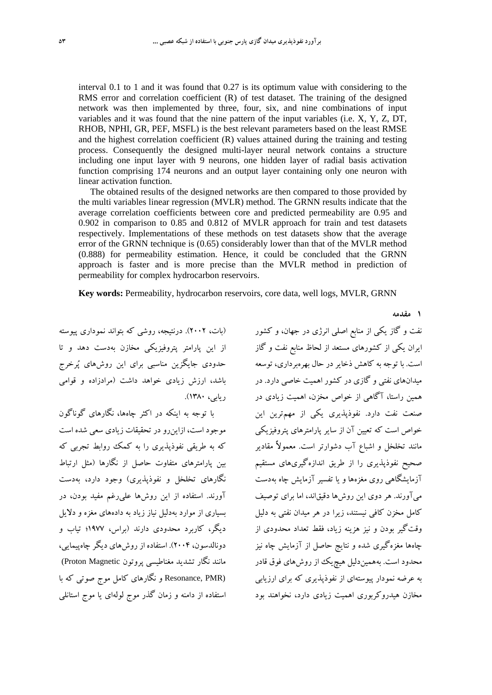interval 0.1 to 1 and it was found that 0.27 is its optimum value with considering to the RMS error and correlation coefficient (R) of test dataset. The training of the designed network was then implemented by three, four, six, and nine combinations of input variables and it was found that the nine pattern of the input variables (i.e. X, Y, Z, DT, RHOB, NPHI, GR, PEF, MSFL) is the best relevant parameters based on the least RMSE and the highest correlation coefficient (R) values attained during the training and testing process. Consequently the designed multi-layer neural network contains a structure including one input layer with 9 neurons, one hidden layer of radial basis activation function comprising 174 neurons and an output layer containing only one neuron with linear activation function.

The obtained results of the designed networks are then compared to those provided by the multi variables linear regression (MVLR) method. The GRNN results indicate that the average correlation coefficients between core and predicted permeability are 0.95 and 0.902 in comparison to 0.85 and 0.812 of MVLR approach for train and test datasets respectively. Implementations of these methods on test datasets show that the average error of the GRNN technique is (0.65) considerably lower than that of the MVLR method (0.888) for permeability estimation. Hence, it could be concluded that the GRNN approach is faster and is more precise than the MVLR method in prediction of permeability for complex hydrocarbon reservoirs.

**Key words:** Permeability, hydrocarbon reservoirs, core data, well logs, MVLR, GRNN

(بات، 2002). درنتيجه، روشي كه بتواند نموداري پيوسته از اين پارامتر پتروفيزيكي مخازن بهدست دهد و تا حدودي جايگزين مناسبي براي اين روشهاي پرخرج باشد، ارزش زيادي خواهد داشت (مرادزاده و قوامي ريابي، 1380).

با توجه به اينكه در اكثر چاهها، نگارهاي گوناگون موجود است، ازاينرو در تحقيقات زيادي سعي شده است كه به طريقي نفوذپذيري را به كمك روابط تجربي كه بين پارامترهاي متفاوت حاصل از نگارها (مثل ارتباط نگارهاي تخلخل و نفوذپذيري) وجود دارد، بهدست آورند. استفاده از اين روشها عليرغم مفيد بودن، در بسياري از موارد بهدليل نياز زياد به دادههاي مغزه و دلايل ديگر، كاربرد محدودي دارند (براس، 1977؛ تياب و دونالدسون، 2004). استفاده از روشهاي ديگر چاهپيمايي، مانند نگار تشديد مغناطيسي پروتون Magnetic Proton( (Resonance, PMR و نگارهاي كامل موج صوتي كه با استفاده از دامنه و زمان گذر موج لولهاي يا موج استانلي

نفت و گاز يكي از منابع اصلي انرژي در جهان، و كشور ايران يكي از كشورهاي مستعد از لحاظ منابع نفت و گاز است. با توجه به كاهش ذخايردر حال بهرهبرداري، توسعه ميدانهاي نفتي و گازي در كشور اهميت خاصي دارد. در همين راستا، آگاهي از خواص مخزن، اهميت زيادي در صنعت نفت دارد. نفوذپذيري يكي از مهمترين اين خواص است كه تعيين آن از ساير پارامترهاي پتروفيزيكي مانند تخلخل و اشباع آب دشوارتر است. معمولاً مقادير صحيح نفوذپذيري را از طريق اندازهگيريهاي مستقيم آزمايشگاهي روي مغزهها و يا تفسير آزمايش چاه بهدست ميآورند. هر دوي اين روشها دقيقاند، اما براي توصيف كامل مخزن كافي نيستند، زيرا در هر ميدان نفتي به دليل وقتگير بودن و نيز هزينه زياد، فقط تعداد محدودي از چاهها مغزهگيري شده و نتايج حاصل از آزمايش چاه نيز محدود است. بههميندليل هيچيك از روشهاي فوق قادر به عرضه نمودار پيوستهاي از نفوذپذيري كه براي ارزيابي مخازن هيدروكربوري اهميت زيادي دارد، نخواهند بود

**1 مقدمه**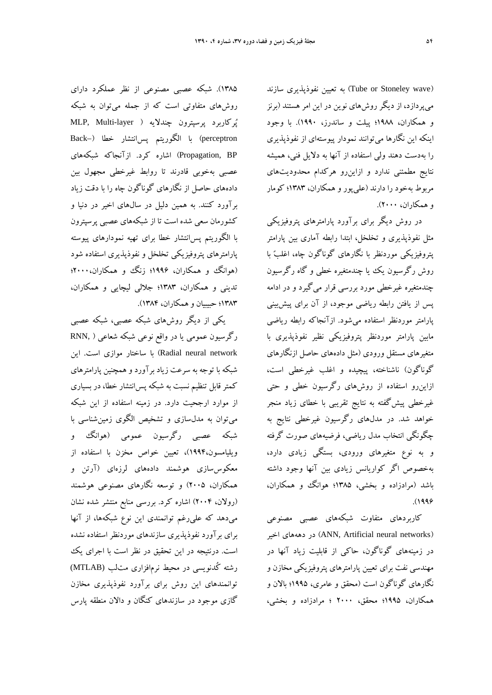(wave Stoneley or Tube (به تعيين نفوذپذيري سازند ميپردازد، از ديگر روشهاي نوين در اين امر هستند (برنز و همكاران، 1988؛ پيلت و ساندرز، 1990). با وجود اينكه اين نگارها ميتوانند نمودار پيوستهاي از نفوذپذيري را بهدست دهند ولي استفاده از آنها به دلايل فني، هميشه نتايج مطمئني ندارد و ازاينرو هركدام محدوديتهاي مربوط بهخود را دارند (عليپور و همكاران، 1383؛ كومار و همكاران، 2000).

در روش ديگر براي برآورد پارامترهاي پتروفيزيكي مثل نفوذپذيري و تخلخل، ابتدا رابطه آماري بين پارامتر پتروفيزيكي موردنظر با نگارهاي گوناگون چاه، اغلب با روش رگرسيون يك يا چندمتغيره خطي و گاه رگرسيون چندمتغيره غيرخطي مورد بررسي قرار ميگيرد و در ادامه پس از يافتن رابطه رياضي موجود، از آن براي پيشبيني پارامتر موردنظر استفاده ميشود. ازآنجاكه رابطه رياضي مابين پارامتر موردنظر پتروفيزيكي نظير نفوذپذيري با متغيرهاي مستقل ورودي (مثل دادههاي حاصل ازنگارهاي گوناگون) ناشناخته، پيچيده و اغلب غيرخطي است، ازاينرو استفاده از روشهاي رگرسيون خطي و حتي غيرخطي پيشگفته به نتايج تقريبي با خطاي زياد منجر خواهد شد. در مدلهاي رگرسيون غيرخطي نتايج به چگونگي انتخاب مدل رياضي، فرضيههاي صورت گرفته و به نوع متغيرهاي ورودي، بستگي زيادي دارد، بهخصوص اگر كواريانس زيادي بين آنها وجود داشته باشد (مرادزاده و بخشي، 1385؛ هوانگ و همكاران،  $(1999)$ 

كاربردهاي متفاوت شبكههاي عصبي مصنوعي اخير دهههاي در) ANN, Artificial neural networks) در زمينههاي گوناگون، حاكي از قابليت زياد آنها در مهندسي نفت براي تعيين پارامترهاي پتروفيزيكي مخازن و نگارهاي گوناگون است (محقق و عامري، 1995؛ بالان و همكاران، 1995؛ محقق، 2000 ؛ مرادزاده و بخشي،

1385). شبكه عصبي مصنوعي از نظر عملكرد داراي روشهاي متفاوتي است كه از جمله ميتوان به شبكه پُركاربرد پرسپترون چندلايه ( MLP, Multi-layer perceptron (با الگوريتم پسانتشار خطا (–Back BP ,Propagation (اشاره كرد. ازآنجاكه شبكههاي عصبي بهخوبي قادرند تا روابط غيرخطي مجهول بين دادههاي حاصل از نگارهاي گوناگون چاه را با دقت زياد برآورد كنند. به همين دليل در سالهاي اخير در دنيا و كشورمان سعي شده است تا از شبكههاي عصبي پرسپترون با الگوريتم پسانتشار خطا براي تهيه نمودارهاي پيوسته پارامترهاي پتروفيزيكي تخلخل و نفوذپذيري استفاده شود (هوانگ و همكاران، ۱۹۹۶؛ زنگ و همكاران، ۲۰۰۰؛ تديني و همكاران، 1383؛ جلالي ليچايي و همكاران، 1383؛ حبيبيان وهمكاران، 1384).

يكي از ديگر روشهاي شبكه عصبي، شبكه عصبي رگرسيون عمومي يا در واقع نوعي شبكه شعاعي ( ,RNN network neural Radial (با ساختار موازي است. اين شبكه با توجه به سرعت زياد برآورد و همچنين پارامترهاي كمترقابل تنظيم نسبت به شبكه پسانتشار خطا، در بسياري از موارد ارجحيت دارد. در زمينه استفاده از اين شبكه ميتوان به مدلسازي و تشخيص الگوي زمينشناسي با شبكه عصبي رگرسيون عمومي (هوانگ و ويليامسون1994،)، تعيين خواص مخزن با استفاده از معكوسسازي هوشمند دادههاي لرزهاي (آرتن و همكاران، 2005) و توسعه نگارهاي مصنوعي هوشمند (رولان، 2004) اشاره كرد. بررسي منابع منتشر شده نشان ميدهد كه عليرغم توانمندي اين نوع شبكهها، از آنها براي برآورد نفوذپذيري سازندهاي موردنظر استفاده نشده است. درنتيجه در اين تحقيق در نظر است با اجراي يك رشته كُدنويسي در محيط نرمافزاري متلب (MTLAB( توانمندهاي اين روش براي برآورد نفوذپذيري مخازن گازي موجود در سازندهاي كنگان و دالان منطقه پارس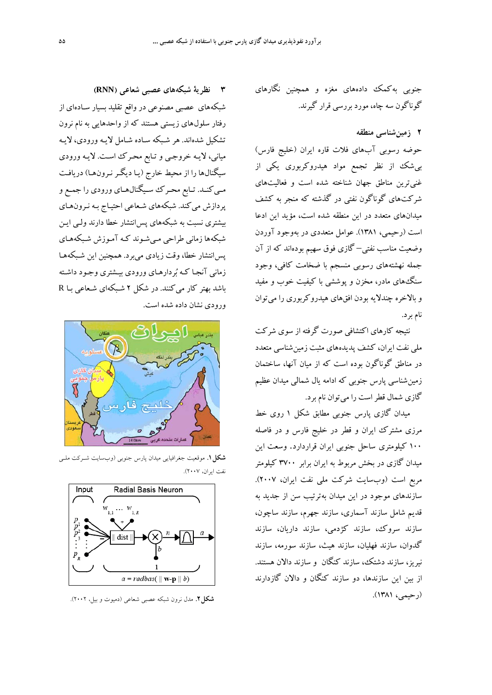جنوبي بهكمك دادههاي مغزه و همچنين نگارهاي گوناگون سه چاه، مورد بررسي قرار گيرند.

## **2 زمينشناسي منطقه**

حوضه رسوبي آبهاي فلات قاره ايران (خليج فارس) بيشك از نظر تجمع مواد هيدروكربوري يكي از غنيترين مناطق جهان شناخته شده است و فعاليتهاي شركتهاي گوناگون نفتي در گذشته كه منجر به كشف ميدانهاي متعدد در اين منطقه شده است، مؤيد اين ادعا است (رحيمي، 1381). عوامل متعددي در بهوجود آوردن وضعيت مناسب نفتي– گازي فوق سهيم بودهاند كه از آن جمله نهشتههاي رسوبي منسجم با ضخامت كافي، وجود سنگهاي مادر، مخزن و پوششي با كيفيت خوب و مفيد و بالاخره چندلايه بودن افقهاي هيدروكربوري را ميتوان نام برد.

نتيجه كارهاي اكتشافي صورت گرفته از سوي شركت ملي نفت ايران، كشف پديدههاي مثبت زمينشناسي متعدد در مناطق گوناگون بوده است كه از ميان آنها، ساختمان زمينشناسي پارس جنوبي كه ادامه يال شمالي ميدان عظيم گازي شمال قطراست را ميتوان نام برد.

ميدان گازي پارس جنوبي مطابق شكل 1 روي خط مرزي مشترك ايران و قطر در خليج فارس و در فاصله 100 كيلومتري ساحل جنوبي ايران قراردارد. وسعت اين ميدان گازي در بخش مربوط به ايران برابر 3700 كيلومتر مربع است (وب سايت شركت ملي نفت ايران، 2007). سازندهاي موجود در اين ميدان بهترتيب سن از جديد به قديم شامل سازند آسماري، سازند جهرم، سازند ساچون، سازند سروك، سازند كژدمي، سازند داريان، سازند گدوان، سازند فهليان، سازند هيث، سازند سورمه، سازند نيريز، سازند دشتك، سازند كنگان و سازند دالان هستند. از بين اين سازندها، دو سازند كنگان و دالان گازدارند (رحيمي، 1381).

**3 نظرية شبكههاي عصبي شعاعي (RNN (** شبكههاي عصبي مصنوعي در واقع تقليد بسيار سـادهاي از رفتار سلول هاي زيستي هستند كه از واحدهايي به نام نرون تشكيل شدهاند. هر شـبكه سـاده شـامل لايـه ورودي، لايـه مياني، لايـه خروجـي و تـابع محـرك اسـت . لايـه ورودي سيگنال ها را از محيط خارج (يـا ديگـر نـرون هـا) دريافـت مــيكنــد. تــابع محــرك ســيگنالهــاي ورودي را جمــع و پردازش ميكند. شبكههاي شـعاعي احتيـاج بـه نـرون هـاي بيشتري نسبت به شبكههاي پسانتشار خطا دارند ولـي ايـن شبكهها زماني طراحي مـيشـوند كـه آمـوزش شـبكه هـاي پسانتشار خطا، وقت زيادي مي برد. همچنين اين شـبكههـا زماني آنجـا كـه بردارهـاي ورودي بيـشتري وجـود داشـته باشد بهتر كار ميكنند. در شكل 2 شـبكهاي شـعاعي بـا R ورودي نشان داده شده است.



**شكل.1** موقعيت جغرافيايي ميدان پارس جنوبي (وبسايت شـركت ملـي نفت ايران، 2007).



**شكل.2** مدل نرون شبكه عصبي شعاعي (دميوت و بيل، 2002).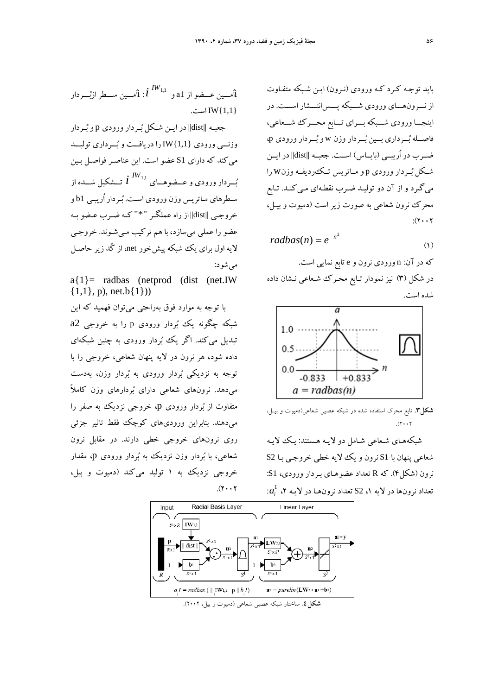بايد توجـه كـرد كـه ورودي (نـرون) ايـن شـبكه متفـاوت از نـــرونهـــاي ورودي شـــبكه پـــسانتـــشار اســـت. در اينجـــاورودي شـــبكه بـــراي تـــابع محـــرك شـــعاعي، فاصــله بــرداري بــين بــردار وزن w و بــردار ورودي p، ضــرب در اُريبــي (بايــاس) اســت. جعبــه ||dist ||در ايــن شــكل بــردار ورودي <sup>p</sup> و مــاتريس تــكرديفــه وزنw را ميگيرد و از آن دو توليـد ضـرب نقطـه اي مـيكنـد. تـابع محرك نرون شعاعي به صورت زير است (دميوت و بيـل،  $:(Y \cdot Y)$ 

$$
radbas(n) = e^{-n^2} \tag{1}
$$

كه در آن: n ورودي نرون و e تابع نمايي است. در شكل (3) نيز نمودار تـابع محـرك شـعاعي نـشان داده شده است.



**شكل.3** تابع محرك استفاده شده در شبكه عصبي شعاعي(دميوت و بيـل،  $(x, y)$ 

شبكههـاي شـعاعي شـامل دو لايـه هـستند : يـك لايـه شعاعي پنهان با 1S نرون و يك لايه خطي خروجـي بـا 2S نرون (شكل4). كه R تعداد عضوهـاي بـردار ورودي، 1S:  $a_i^1$  نرونها در لايه ۱، S2 تعداد نرونهـا در لايـه ۲،  $a_i^1$ 



جعبـه ||dist ||در ايـن شـكل بـردار ورودي p و بـردار وزنـــي ورودي {1,1}IW را دريافـــت و بـــرداري توليـــد ميكند كه داراي 1S عضو است. اين عناصـر فواصـل بـين بـــردار ورودي وعـــضوهـــاي تـــشكيل شـــده از  $i^{IW_{1,1}}$ سـطرهاي مـاتريس وزن ورودي اسـت. بـردار اُريبـي 1b و خروجـي ||dist ||از راه عملگـر "\*" كـه ضـرب عـضو بـه عضو را عملي ميسازد، با هم تركيب مـيشـوند. خروجـي لايه اول براي يك شبكه پيشخور net، از كُد زير حاصـل ميشود:

 $a\{1\}$ = radbas (netprod (dist (net.IW)  $\{1,1\}$ , p), net.b $\{1\})$ 

با توجه به موارد فوق بهراحتي ميتوان فهميد كه اين شبكه چگونه يك بردار ورودي <sup>p</sup> را به خروجي 2a تبديل ميكند. اگر يك بردار ورودي به چنين شبكهاي داده شود، هر نرون در لايه پنهان شعاعي، خروجي را با توجه به نزديكي بردار ورودي به بردار وزن، بهدست ميدهد. نرونهاي شعاعي داراي بردارهاي وزن كاملاً متفاوت از بردار ورودي p، خروجي نزديك به صفر را ميدهند. بنابراين وروديهاي كوچك فقط تاثير جزئي روي نرونهاي خروجي خطي دارند. در مقابل نرون شعاعي، با بردار وزن نزديك به بردار ورودي p، مقدار خروجي نزديك به 1 توليد ميكند (دميوت و بيل،  $(1.7)$ 

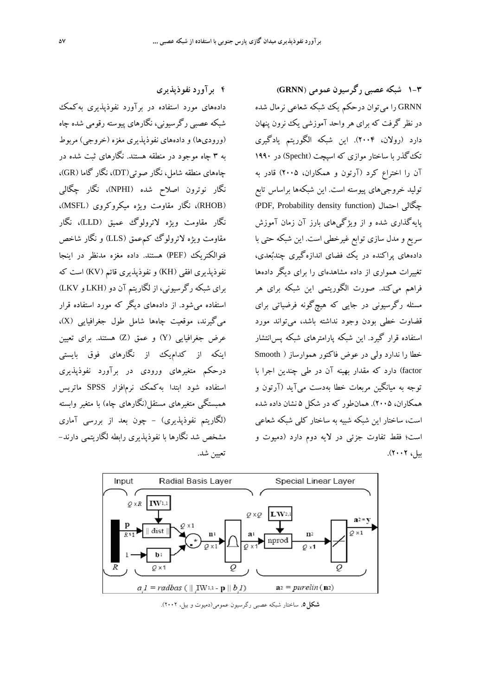**4 برآورد نفوذپذيري** 

دادههاي مورد استفاده در برآورد نفوذپذيري بهكمك شبكه عصبي رگرسيوني، نگارهاي پيوسته رقومي شده چاه (وروديها) و دادههاي نفوذپذيري مغزه (خروجي) مربوط به 3 چاه موجود در منطقه هستند. نگارهاي ثبت شده در چاههاي منطقه شامل، نگار صوتي(DT)، نگار گاما (GR)، نگار نوترون اصلاح شده (NPHI(، نگار چگالي (RHOB(، نگار مقاومت ويژه ميكروكروي (MSFL(، نگار مقاومت ويژه لاترولوگ عميق (LLD(، نگار مقاومت ويژه لاترولوگ كمعمق (LLS (و نگار شاخص فتوالكتريك (PEF (هستند. داده مغزه مدنظر در اينجا نفوذپذيري افقي (KH) و نفوذپذيري قائم (KV) است كه براي شبكه رگرسيوني، از لگاريتم آن دو (LKH و LKV ( استفاده ميشود. از دادههاي ديگر كه مورد استفاده قرار ميگيرند، موقعيت چاهها شامل طول جغرافيايي (X(، عرض جغرافيايي (Y (و عمق (Z (هستند. براي تعيين اينكه از كداميك از نگارهاي فوق بايستي درحكم متغيرهاي ورودي در برآورد نفوذپذيري استفاده شود ابتدا بهكمك نرمافزار SPSS ماتريس همبستگي متغيرهاي مستقل(نگارهاي چاه) با متغير وابسته (لگاريتم نفوذپذيري) - چون بعد از بررسي آماري مشخص شد نگارها با نفوذپذيري رابطه لگاريتمي دارند- تعيين شد.

**1-3 شبكه عصبي رگرسيون عمومي** (**GRNN (** GRNN را ميتوان درحكم يك شبكه شعاعي نرمال شده در نظر گرفت كه براي هر واحد آموزشي يك نرون پنهان دارد (رولان، 2004). اين شبكه الگوريتم يادگيري تكگذر با ساختار موازي كه اسپچت (Specht (در 1990 آن را اختراع كرد (آرتون و همكاران، 2005) قادر به توليد خروجيهاي پيوسته است. اين شبكهها براساس تابع (PDF, Probability density function) احتمال چگالي پايهگذاري شده و از ويژگيهاي بارز آن زمان آموزش سريع و مدل سازي توابع غيرخطي است. اين شبكه حتي با دادههاي پراكنده در يك فضاي اندازهگيري چندبعدي، تغييرات همواري از داده مشاهدهاي را براي ديگر دادهها فراهم ميكند. صورت الگوريتمي اين شبكه براي هر مسئله رگرسيوني در جايي كه هيچگونه فرضياتي براي قضاوت خطي بودن وجود نداشته باشد، ميتواند مورد استفاده قرار گيرد. اين شبكه پارامترهاي شبكه پسانتشار خطا را ندارد ولي در عوض فاكتور هموارساز ( Smooth factor (دارد كه مقدار بهينه آن در طي چندين اجرا با توجه به ميانگين مربعات خطا بهدست ميآيد (آرتون و همكاران، 2005). همانطور كه در شكل 5 نشان داده شده است، ساختار اين شبكه شبيه به ساختار كلي شبكه شعاعي است؛ فقط تفاوت جزئي در لايه دوم دارد (دميوت و بيل، 2002).



**شكل.5** ساختار شبكه عصبي رگرسيون عمومي(دميوت و بيل، 2002).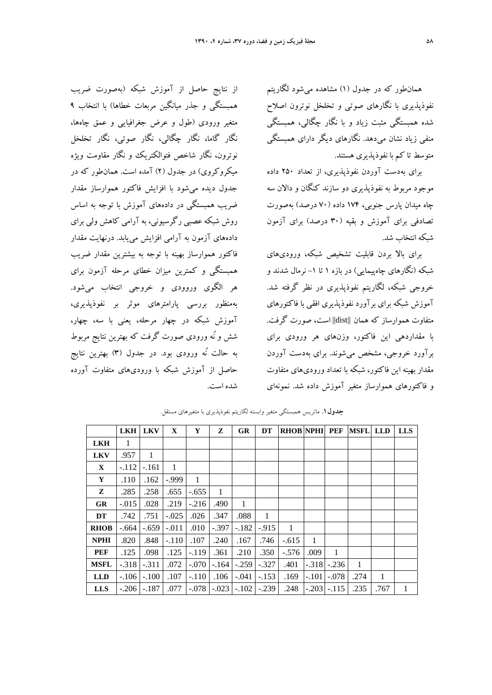همانطور كه در جدول (1) مشاهده ميشود لگاريتم نفوذپذيري با نگارهاي صوتي و تخلخل نوترون اصلاح شده همبستگي مثبت زياد و با نگار چگالي، همبستگي منفي زياد نشان ميدهد. نگارهاي ديگر داراي همبستگي متوسط تا كم با نفوذپذيري هستند.

براي بهدست آوردن نفوذپذيري، از تعداد 250 داده موجود مربوط به نفوذپذيري دو سازند كنگان و دالان سه چاه ميدان پارس جنوبي، 174 داده (70 درصد) بهصورت تصادفي براي آموزش و بقيه (30 درصد) براي آزمون شبكه انتخاب شد.

براي بالا بردن قابليت تشخيص شبكه، وروديهاي شبكه (نگارهاي چاهپيمايي) در بازه 1 تا -1 نرمال شدند و خروجي شبكه، لگاريتم نفوذپذيري در نظر گرفته شد. آموزش شبكه براي برآورد نفوذپذيري افقي با فاكتورهاي متفاوت هموارساز كه همان ||dist ||است، صورت گرفت. با مقداردهي اين فاكتور، وزنهاي هر ورودي براي برآورد خروجي، مشخص ميشوند. براي بهدست آوردن مقدار بهينه اين فاكتور، شبكه با تعداد وروديهاي متفاوت و فاكتورهاي هموارساز متغير آموزش داده شد. نمونهاي

از نتايج حاصل از آموزش شبكه (بهصورت ضريب همبستگي و جذر ميانگين مربعات خطاها) با انتخاب 9 متغير ورودي (طول و عرض جغرافيايي و عمق چاهها، نگار گاما، نگار چگالي، نگار صوتي، نگار تخلخل نوترون، نگار شاخص فتوالكتريك و نگار مقاومت ويژه ميكروكروي) در جدول (2) آمده است. همانطور كه در جدول ديده ميشود با افزايش فاكتور هموارساز مقدار ضريب همبستگي در دادههاي آموزش با توجه به اساس روش شبكه عصبي رگرسيوني، به آرامي كاهش ولي براي دادههاي آزمون به آرامي افزايش مييابد. درنهايت مقدار فاكتور هموارساز بهينه با توجه به بيشترين مقدار ضريب همبستگي و كمترين ميزان خطاي مرحله آزمون براي هر الگوي وروودي و خروجي انتخاب ميشود. بهمنظور بررسي پارامترهاي موثر بر نفوذپذيري، آموزش شبكه در چهار مرحله، يعني با سه، چهار، شش و نُه ورودي صورت گرفت كه بهترين نتايج مربوط به حالت نُه ورودي بود. در جدول (3) بهترين نتايج حاصل از آموزش شبكه با وروديهاي متفاوت آورده شده است.

|              | <b>LKH</b> | <b>LKV</b>              | $\mathbf{X}$ | Y                            | Z      | GR      | DT           | <b>RHOB NPHI</b> PEF |         |                                                 | <b>MSFL LLD</b> |      | <b>LLS</b> |
|--------------|------------|-------------------------|--------------|------------------------------|--------|---------|--------------|----------------------|---------|-------------------------------------------------|-----------------|------|------------|
| <b>LKH</b>   | 1          |                         |              |                              |        |         |              |                      |         |                                                 |                 |      |            |
| <b>LKV</b>   | .957       | $\mathbf{1}$            |              |                              |        |         |              |                      |         |                                                 |                 |      |            |
| $\mathbf{X}$ | $-.112$    | $-.161$                 | $\mathbf{1}$ |                              |        |         |              |                      |         |                                                 |                 |      |            |
| Y            | .110       | .162                    | $-0.999$     | 1                            |        |         |              |                      |         |                                                 |                 |      |            |
| Z            | .285       | .258                    | .655         | $-.655$                      | 1      |         |              |                      |         |                                                 |                 |      |            |
| <b>GR</b>    | $-.015$    | .028                    | .219         | $-.216$                      | .490   | 1       |              |                      |         |                                                 |                 |      |            |
| DT           | .742       | .751                    | $-.025$      | .026                         | .347   | .088    | $\mathbf{1}$ |                      |         |                                                 |                 |      |            |
| <b>RHOB</b>  | -.664      | $-.659$                 | $-.011$      | .010                         | -.397  | $-.182$ | $-915$       | $\mathbf{1}$         |         |                                                 |                 |      |            |
| <b>NPHI</b>  | .820       | .848                    | $-.110$      | .107                         | .240   | .167    | .746         | $-.615$              | 1       |                                                 |                 |      |            |
| PEF          | .125       | .098                    | .125         | $-.119$                      | .361   | .210    | .350         | $-.576$              | .009    | 1                                               |                 |      |            |
| <b>MSFL</b>  | $-.318$    | $-.311$                 | .072         | $-.070$                      | $-164$ | $-.259$ | $-.327$      | .401                 |         | $-.318$ $-.236$                                 | 1               |      |            |
| <b>LLD</b>   | $-.106$    | $-.100$                 | .107         | $-.110$                      | .106   | $-.041$ | $-.153$      | .169                 | $-.101$ | $-.078$                                         | .274            | 1    |            |
| <b>LLS</b>   |            | $-.206$ $-.187$ $\vert$ |              | .077 -.078 -.023 -.102 -.239 |        |         |              | .248                 |         | $\left -.203\right $ - 115 $\left -.235\right $ |                 | .767 | 1          |

**جدول.1** ماتريس همبستگي متغير وابسته لگاريتم نفوذپذيري با متغيرهاي مستقل.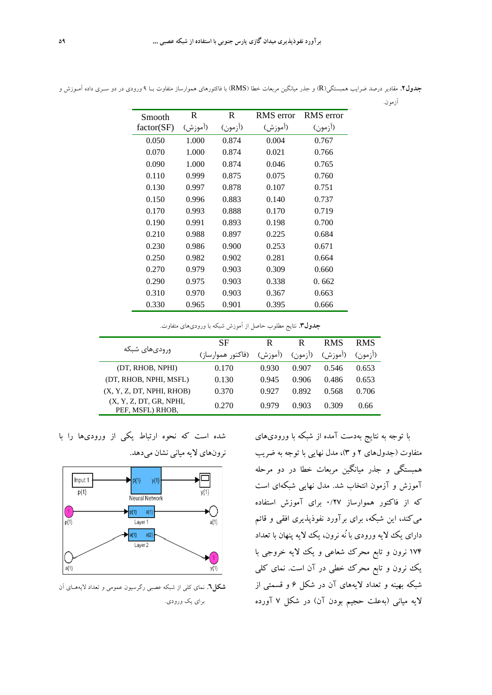| Smooth     | $\mathbf R$ | R       | <b>RMS</b> error | <b>RMS</b> error |
|------------|-------------|---------|------------------|------------------|
| factor(SF) | (آموزش)     | (أزمون) | (آموزش)          | (ازمون)          |
| 0.050      | 1.000       | 0.874   | 0.004            | 0.767            |
| 0.070      | 1.000       | 0.874   | 0.021            | 0.766            |
| 0.090      | 1.000       | 0.874   | 0.046            | 0.765            |
| 0.110      | 0.999       | 0.875   | 0.075            | 0.760            |
| 0.130      | 0.997       | 0.878   | 0.107            | 0.751            |
| 0.150      | 0.996       | 0.883   | 0.140            | 0.737            |
| 0.170      | 0.993       | 0.888   | 0.170            | 0.719            |
| 0.190      | 0.991       | 0.893   | 0.198            | 0.700            |
| 0.210      | 0.988       | 0.897   | 0.225            | 0.684            |
| 0.230      | 0.986       | 0.900   | 0.253            | 0.671            |
| 0.250      | 0.982       | 0.902   | 0.281            | 0.664            |
| 0.270      | 0.979       | 0.903   | 0.309            | 0.660            |
| 0.290      | 0.975       | 0.903   | 0.338            | 0.662            |
| 0.310      | 0.970       | 0.903   | 0.367            | 0.663            |
| 0.330      | 0.965       | 0.901   | 0.395            | 0.666            |

**جدول.2** مقادير درصد ضرايب همبستگي(R (و جذر ميانگين مربعات خطا (RMS (با فاكتورهاي هموارساز متفاوت بـا 9 ورودي در دو سـري داده آمـوزش و آزمون.

**جدول.3** نتايج مطلوب حاصل از آموزش شبكه با وروديهاي متفاوت.

|                                             | SF                | R       | R           | <b>RMS</b> | <b>RMS</b> |
|---------------------------------------------|-------------------|---------|-------------|------------|------------|
| ورودىهاى شبكه                               | (فاکتور هموارساز) | (اموزش) | $($ ا; مون) | (آموزش)    | $($ ;مون)  |
| (DT, RHOB, NPHI)                            | 0.170             | 0.930   | 0.907       | 0.546      | 0.653      |
| (DT, RHOB, NPHI, MSFL)                      | 0.130             | 0.945   | 0.906       | 0.486      | 0.653      |
| (X, Y, Z, DT, NPHI, RHOB)                   | 0.370             | 0.927   | 0.892       | 0.568      | 0.706      |
| (X, Y, Z, DT, GR, NPHI,<br>PEF, MSFL) RHOB, | 0.270             | 0.979   | 0.903       | 0.309      | 0.66       |

با توجه به نتايج بهدست آمده از شبكه با وروديهاي متفاوت (جدولهاي 2 و 3)، مدل نهايي با توجه به ضريب همبستگي و جذر ميانگين مربعات خطا در دو مرحله آموزش و آزمون انتخاب شد. مدل نهايي شبكهاي است كه از فاكتور هموارساز 0/27 براي آموزش استفاده ميكند، اين شبكه، براي برآورد نفوذپذيري افقي و قائم داراي يك لايه ورودي با نُه نرون، يك لايه پنهان با تعداد 174 نرون و تابع محرك شعاعي و يك لايه خروجي با يك نرون و تابع محرك خطي در آن است. نماي كلي شبكه بهينه و تعداد لايههاي آن در شكل 6 و قسمتي از لايه مياني (بهعلت حجيم بودن آن) در شكل 7 آورده

شده است كه نحوه ارتباط يكي از وروديها را با نرونهاي لايه مياني نشان ميدهد.



**شكل.6** نماي كلي از شبكه عصبي رگرسيون عمومي و تعداد لايههـاي آن براي يك ورودي.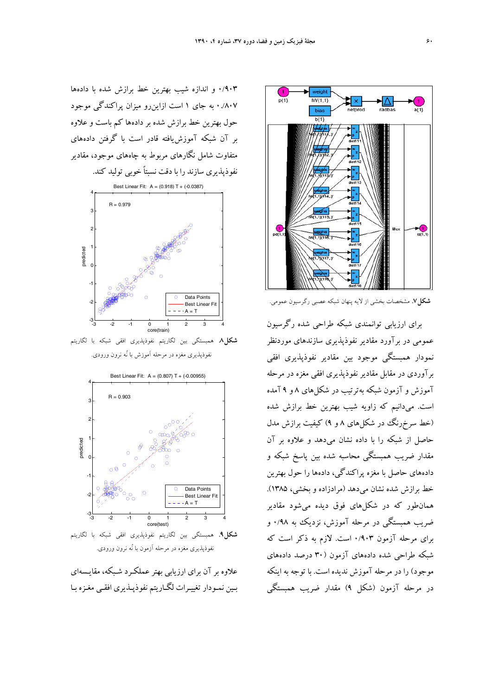

**شكل.7** مشخصات بخشي از لايه پنهان شبكه عصبي رگرسيون عمومي.

براي ارزيابي توانمندي شبكه طراحي شده رگرسيون عمومي در برآورد مقادير نفوذپذيري سازندهاي موردنظر نمودار همبستگي موجود بين مقادير نفوذپذيري افقي برآوردي در مقابل مقادير نفوذپذيري افقي مغزه در مرحله آموزش و آزمون شبكه بهترتيب در شكلهاي 8 و 9 آمده است. ميدانيم كه زاويه شيب بهترين خط برازش شده (خط سرخرنگ در شكلهاي 8 و 9) كيفيت برازش مدل حاصل از شبكه را با داده نشان ميدهد و علاوه بر آن مقدار ضريب همبستگي محاسبه شده بين پاسخ شبكه و دادههاي حاصل با مغزه پراكندگي، دادهها را حول بهترين خط برازش شده نشان ميدهد (مرادزاده و بخشي، 1385). همانطور كه در شكلهاي فوق ديده ميشود مقادير ضريب همبستگي در مرحله آموزش، نزديك به 0/98 و براي مرحله آزمون 0/903 است. لازم به ذكر است كه شبكه طراحي شده دادههاي آزمون (30 درصد دادههاي موجود) را در مرحله آموزش نديده است. با توجه به اينكه در مرحله آزمون (شكل 9) مقدار ضريب همبستگي

0/903 و اندازه شيب بهترين خط برازش شده با دادهها 0./807 به جاي 1 است ازاينرو ميزان پراكندگي موجود حول بهترين خط برازش شده بر دادهها كم باست و علاوه بر آن شبكه آموزشيافته قادر است با گرفتن دادههاي متفاوت شامل نگارهاي مربوط به چاههاي موجود، مقادير نفوذپذيري سازند را با دقت نسبتاً خوبي توليد كند.



**شكل.8** همبستگي بين لگاريتم نفوذپذيري افقي شبكه با لگاريتم نفوذپذيري مغزه در مرحله آموزش با نُه نرون ورودي.



**شكل.9** همبستگي بين لگاريتم نفوذپذيري افقي شبكه با لگاريتم نفوذپذيري مغزه در مرحله آزمون با نُه نرون ورودي.

علاوه بر آن براي ارزيابي بهتر عملكـرد شـبكه، مقايـسه اي بـين نمـودار تغييـرات لگـاريتم نفوذپـذيري افقـي مغـزه بـا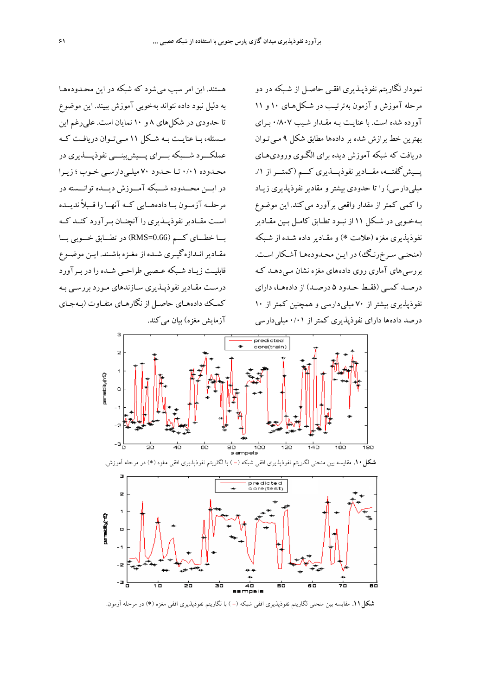هستند. اين امر سبب مي شود كه شبكه در اين محـدوده هـا به دليل نبود داده نتواند به خوبي آموزش ببيند. اين موضوع تا حدودي در شكل هاي 8 و 10 نمايان است. علي رغم اين مــسئله، بــا عنايــت بــه شــكل 11 مــيتــوان دريافــت كــه عملكـــرد شـــبكه بـــراي پـــيشبينـــي نفوذپـــذيري در محـدوده 0/01 تـا حـدود 70 ميلـيدارسـي خـوب ؛ زيـرا در ايـــن محـــدوده شـــبكه آمـــوزش ديـــده توانـــسته در مرحلــه آزمــون بــا دادههــايي كــه آنهــا را قــبلاً نديــده اســت مقــاديرنفوذپــذيري را آنچنــان بــرآورد كنــد كــه بـــا خطـــاي كـــم (0.66=RMS (در تطـــابق خـــوبي بـــا مقـاديرانـدازهگيـري شـده از مغـزه باشـند. ايـن موضـوع قابليــت زيــاد شــبكه عــصبي طراحــي شــده را در بــرآورد درسـت مقـاديرنفوذپـذيري سـازندهاي مـورد بررسـي بـه كمـك دادههـاي حاصـل از نگارهـاي متفـاوت (بـهجـاي آزمايش مغزه) بيان مي كند.

نمودار لگاريتم نفوذپـذيري افقـي حاصـل از شـبكه در دو مرحله آموزش و آزمون به ترتيـب در شـكل هـاي 10 و 11 آورده شده است. با عنايـت بـه مقـدار شـيب 0/807 بـراي بهترين خط برازش شده بر داده ها مطابق شكل 9 مـي تـوان دريافت كه شبكه آموزش ديده براي الگـوي ورودي هـاي پـــيشگفتـــه، مقـــاديرنفوذپـــذيري كـــم (كمتـــراز ./1 ميلي دارسي) را تا حدودي بيشتر و مقادير نفوذپذيري زيـاد را كمي كمتر از مقدار واقعي برآورد مي كند. اين موضوع بـهخـوبي در شـكل 11 از نبـود تطـابق كامـل بـين مقـادير نفوذپذيري مغزه (علامت ∗) و مقـادير داده شـده از شـبكه (منحنـي سـرخرنـگ) در ايـن محـدودههـا آشـكار اسـت. بررسي هاي آماري روي داده هاي مغزه نشان مـي دهـد كـه درصــد كمــي (فقــط حــدود 5 درصــد) از دادههــا، داراي نفوذپذيري بيشتر از 70 ميلي دارسي و همچنين كمتر از 10 درصد داده ها داراي نفوذپذيري كمتر از 0/01 ميلي دارسي





**شكل.11** مقايسه بين منحني لگاريتم نفوذپذيري افقي شبكه (- ) با لگاريتم نفوذپذيري افقي مغزه (∗) در مرحله آزمون.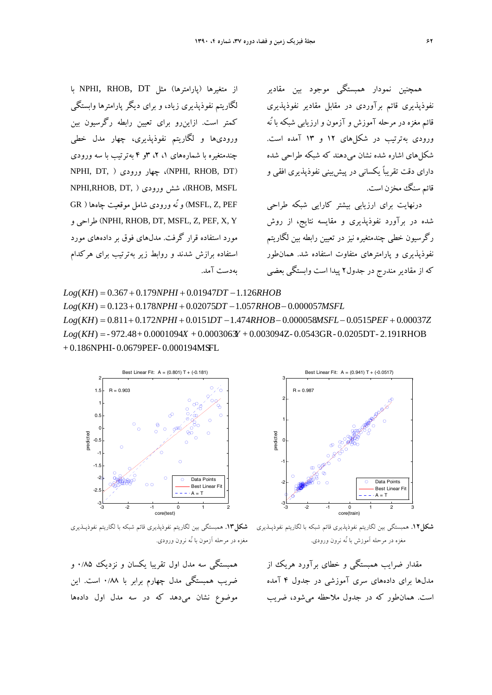از متغيرها (پارامترها) مثل DT ,RHOB ,NPHI با لگاريتم نفوذپذيري زياد، و براي ديگر پارامترها وابستگي كمتر است. ازاينرو براي تعيين رابطه رگرسيون بين وروديها و لگاريتم نفوذپذيري، چهار مدل خطي چندمتغيره با شمارههاي ،1 ،2 3و 4 بهترتيب با سه ورودي NPHI, DT, ) ورودي چهار ،)NPHI, RHOB, DT) NPHI,RHOB, DT, ) ورودي شش ،)RHOB, MSFL PEF ,Z ,MSFL (و نُه ورودي شامل موقعيت چاهها ( GR و طراحي) NPHI, RHOB, DT, MSFL, Z, PEF, X, Y مورد استفاده قرار گرفت. مدلهاي فوق بر دادههاي مورد استفاده برازش شدند و روابط زير بهترتيب براي هركدام بهدست آمد.

همچنين نمودار همبستگي موجود بين مقادير نفوذپذيري قائم برآوردي در مقابل مقادير نفوذپذيري قائم مغزه در مرحله آموزش و آزمون و ارزيابي شبكه با نُه ورودي بهترتيب در شكلهاي 12 و 13 آمده است. شكلهاي اشاره شده نشان ميدهند كه شبكه طراحي شده داراي دقت تقريباً يكساني در پيشبيني نفوذپذيري افقي و قائم سنگ مخزن است.

درنهايت براي ارزيابي بيشتر كارايي شبكه طراحي شده در برآورد نفوذپذيري و مقايسه نتايج، از روش رگرسيون خطي چندمتغيره نيز در تعيين رابطه بين لگاريتم نفوذپذيري و پارامترهاي متفاوت استفاده شد. همانطور كه از مقادير مندرج در جدول2 پيدا است وابستگي بعضي

+ 0.186NPHI- 0.0679PEF- 0.000194MSFL  $Log(KH) = -972.48 + 0.0001094X + 0.0003063Y + 0.003094Z - 0.0543GR - 0.0205DT - 2.191RHOB$  $Log(KH) = 0.811 + 0.172 NPHI + 0.0151DT - 1.474 RHOB - 0.000058 MSE - 0.0515PEF + 0.00037Z$  $Log(KH) = 0.123 + 0.178 NPHI + 0.02075 DT - 1.057 RHOB - 0.000057 MSFL$  $Log(KH) = 0.367 + 0.179 NPHI + 0.01947 DT - 1.126 RHOB$ 



مغزه در مرحله آزمون با نُه نرون ورودي.

همبستگي سه مدل اول تقريبا يكسان و نزديك 0/85 و ضريب همبستگي مدل چهارم برابر با 0/88 است. اين موضوع نشان ميدهد كه در سه مدل اول دادهها



**شكل.12** همبستگي بين لگاريتم نفوذپذيري قائم شبكه با لگاريتم نفوذپـذيري **شكل.13** همبستگي بين لگاريتم نفوذپذيري قائم شبكه با لگاريتم نفوذپـذيري مغزه در مرحله آموزش با نُه نرون ورودي.

مقدار ضرايب همبستگي و خطاي برآورد هريك از مدلها براي دادههاي سري آموزشي در جدول 4 آمده است. همانطور كه در جدول ملاحظه ميشود، ضريب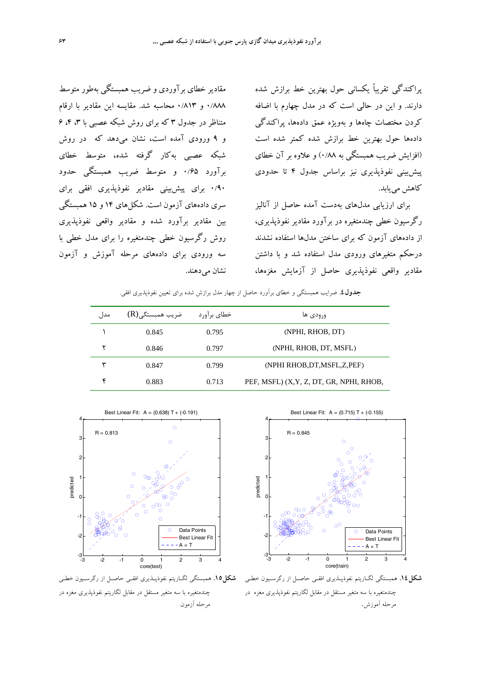پراكندگي تقريباً يكساني حول بهترين خط برازش شده دارند. و اين در حالي است كه در مدل چهارم با اضافه كردن مختصات چاهها و بهويژه عمق دادهها، پراكندگي دادهها حول بهترين خط برازش شده كمتر شده است (افزايش ضريب همبستگي به 0/88) و علاوه بر آن خطاي پيشبيني نفوذپذيري نيز براساس جدول 4 تا حدودي كاهش مييابد.

براي ارزيابي مدلهاي بهدست آمده حاصل از آناليز رگرسيون خطي چندمتغيره در برآورد مقادير نفوذپذيري، از دادههاي آزمون كه براي ساختن مدلها استفاده نشدند درحكم متغيرهاي ورودي مدل استفاده شد و با داشتن مقادير واقعي نفوذپذيري حاصل از آزمايش مغزهها،

مقادير خطاي برآوردي و ضريب همبستگي بهطور متوسط 0/888 و 0/813 محاسبه شد. مقايسه اين مقادير با ارقام متناظر در جدول ۳ كه براي روش شبكه عصبي با ۴،۳ ،۴ و 9 ورودي آمده است، نشان ميدهد كه در روش شبكه عصبي بهكار گرفته شده، متوسط خطاي برآورد 0/65 و متوسط ضريب همبستگي حدود 0/90 براي پيشبيني مقادير نفوذپذيري افقي براي سري دادههاي آزمون است. شكلهاي 14 و 15 همبستگي بين مقادير برآورد شده و مقادير واقعي نفوذپذيري روش رگرسيون خطي چندمتغيره را براي مدل خطي با سه ورودي براي دادههاي مرحله آموزش و آزمون نشان مي دهند.

**جدول.4** ضرايب همبستگي و خطاي برآورد حاصل از چهار مدل برازش شده براي تعيين نفوذپذيري افقي.

| مدا , | ضریب همبستگی(R) | خطاي برآورد | ورودى ها                                |
|-------|-----------------|-------------|-----------------------------------------|
|       | 0.845           | 0.795       | (NPHI, RHOB, DT)                        |
|       | 0.846           | 0.797       | (NPHI, RHOB, DT, MSFL)                  |
|       | 0.847           | 0.799       | (NPHI RHOB, DT, MSFL, Z, PEF)           |
|       | 0.883           | 0.713       | PEF, MSFL) (X,Y, Z, DT, GR, NPHI, RHOB, |



**شكل.14** همبستگي لگـاريتم نفوذپـذيري افقـي حاصـل از رگرسـيون خطـي **شكل.15** همبستگي لگـاريتم نفوذپـذيري افقـي حاصـل از رگرسـيون خطـي چندمتغيره با سه متغير مستقل در مقابل لگاريتم نفوذپذيري مغزه در مرحله آموزش.



چندمتغيره با سه متغير مستقل در مقابل لگاريتم نفوذپذيري مغزه در مرحله آزمون.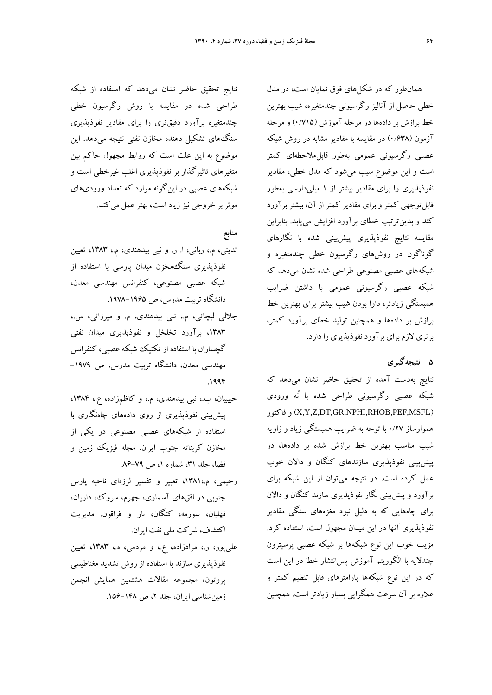همانطور كه در شكلهاي فوق نمايان است، در مدل خطي حاصل از آناليز رگرسيوني چندمتغيره، شيب بهترين خط برازش بر دادهها در مرحله آموزش (0/715) و مرحله آزمون (0/638) در مقايسه با مقادير مشابه در روش شبكه عصبي رگرسيوني عمومي بهطور قابلملاحظهاي كمتر است و اين موضوع سبب ميشود كه مدل خطي، مقادير نفوذپذيري را براي مقادير بيشتر از 1 ميليدارسي بهطور قابلتوجهي كمتر و براي مقادير كمتر از آن، بيشتر برآورد كند و بدينترتيب خطاي برآورد افزايش مييابد. بنابراين مقايسه نتايج نفوذپذيري پيشبيني شده با نگارهاي گوناگون در روشهاي رگرسيون خطي چندمتغيره و شبكههاي عصبي مصنوعي طراحي شده نشان ميدهد كه شبكه عصبي رگرسيوني عمومي با داشتن ضرايب همبستگي زيادتر، دارا بودن شيب بيشتر براي بهترين خط برازش بر دادهها و همچنين توليد خطاي برآورد كمتر، برتري لازم براي برآورد نفوذپذيري را دارد.

# **5 نتيجهگيري**

نتايج بهدست آمده از تحقيق حاضر نشان ميدهد كه شبكه عصبي رگرسيوني طراحي شده با نُه ورودي فاكتور و) X,Y,Z,DT,GR,NPHI,RHOB,PEF,MSFL) هموارساز 0/27 با توجه به ضرايب همبستگي زياد و زاويه شيب مناسب بهترين خط برازش شده بر دادهها، در پيشبيني نفوذپذيري سازندهاي كنگان و دالان خوب عمل كرده است. در نتيجه ميتوان از اين شبكه براي برآورد و پيشبيني نگار نفوذپذيري سازند كنگان و دالان براي چاههايي كه به دليل نبود مغزههاي سنگي مقادير نفوذپذيري آنها در اين ميدان مجهول است، استفاده كرد. مزيت خوب اين نوع شبكهها بر شبكه عصبي پرسپترون چندلايه با الگوريتم آموزش پسانتشار خطا در اين است كه در اين نوع شبكهها پارامترهاي قابل تنظيم كمتر و علاوه بر آن سرعت همگرايي بسيار زيادتر است. همچنين

نتايج تحقيق حاضر نشان ميدهد كه استفاده از شبكه طراحي شده در مقايسه با روش رگرسيون خطي چندمتغيره برآورد دقيقتري را براي مقادير نفوذپذيري سنگهاي تشكيل دهنده مخازن نفتي نتيجه ميدهد. اين موضوع به اين علت است كه روابط مجهول حاكم بين متغيرهاي تاثيرگذار بر نفوذپذيري اغلب غيرخطي است و شبكههاي عصبي در اينگونه موارد كه تعداد وروديهاي موثر بر خروجي نيز زياد است، بهتر عمل مي كند.

## **منابع**

- تديني، م،. رباني، ا. ر. و نبي بيدهندي، م،. ،1383 تعيين نفوذپذيري سنگمخزن ميدان پارسي با استفاده از شبكه عصبي مصنوعي، كنفرانس مهندسي معدن، دانشگاه تربيت مدرس، ص .1978-1965
- جلالي ليچائي، م،. نبي بيدهندي، م. و ميرزائي، س،. ،1383 برآورد تخلخل و نفوذپذيري ميدان نفتي گچساران با استفاده از تكنيك شبكه عصبي، كنفرانس مهندسي معدن، دانشگاه تربيت مدرس، ص -1979 .1994
- حبيبيان، ب،. نبي بيدهندي، م،. و كاظمزاده، ع،. ،1384 پيشبيني نفوذپذيري از روي دادههاي چاهنگاري با استفاده از شبكههاي عصبي مصنوعي در يكي از مخازن كربناته جنوب ايران. مجله فيزيك زمين و فضا، جلد ۳۱، شماره ۱، ص ۷۹–۸۶
- رحيمي، م،1381،. تعبير و تفسير لرزهاي ناحيه پارس جنوبي در افقهاي آسماري، جهرم، سروك، داريان، فهليان، سورمه، كنگان، نار و فراقون. مديريت اكتشاف، شركت ملي نفت ايران.
- عليپور، ر،. مرادزاده، ع،. و مردمي، ه،. ،1383 تعيين نفوذپذيري سازند با استفاده از روش تشديد مغناطيسي پروتون، مجموعه مقالات هشتمين همايش انجمن زمين شناسي ايران، جلد ٢، ص ١۴٨-١۵۶.